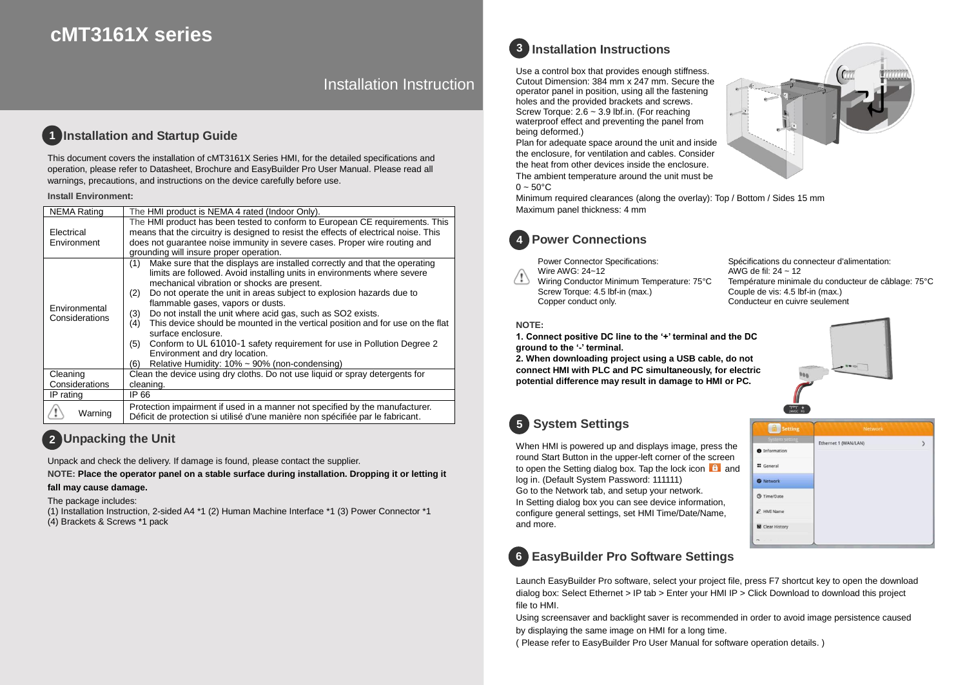# **cMT3161X series**

Installation Instruction

#### **Installation and Startup Guide 1**

This document covers the installation of cMT3161X Series HMI, for the detailed specifications and operation, please refer to Datasheet, Brochure and EasyBuilder Pro User Manual. Please read all warnings, precautions, and instructions on the device carefully before use.

### **Install Environment:**

| <b>NEMA Rating</b>              | The HMI product is NEMA 4 rated (Indoor Only).                                                                                                                                                                                                                                                                                                                                                                                                                                                                                                                                                                                                                                                  |  |  |  |  |  |  |
|---------------------------------|-------------------------------------------------------------------------------------------------------------------------------------------------------------------------------------------------------------------------------------------------------------------------------------------------------------------------------------------------------------------------------------------------------------------------------------------------------------------------------------------------------------------------------------------------------------------------------------------------------------------------------------------------------------------------------------------------|--|--|--|--|--|--|
| Electrical<br>Environment       | The HMI product has been tested to conform to European CE requirements. This<br>means that the circuitry is designed to resist the effects of electrical noise. This<br>does not quarantee noise immunity in severe cases. Proper wire routing and<br>grounding will insure proper operation.                                                                                                                                                                                                                                                                                                                                                                                                   |  |  |  |  |  |  |
| Environmental<br>Considerations | Make sure that the displays are installed correctly and that the operating<br>(1)<br>limits are followed. Avoid installing units in environments where severe<br>mechanical vibration or shocks are present.<br>Do not operate the unit in areas subject to explosion hazards due to<br>(2)<br>flammable gases, vapors or dusts.<br>Do not install the unit where acid gas, such as SO2 exists.<br>(3)<br>This device should be mounted in the vertical position and for use on the flat<br>(4)<br>surface enclosure.<br>Conform to UL 61010-1 safety requirement for use in Pollution Degree 2<br>(5)<br>Environment and dry location.<br>Relative Humidity: 10% ~ 90% (non-condensing)<br>(6) |  |  |  |  |  |  |
| Cleaning                        | Clean the device using dry cloths. Do not use liquid or spray detergents for                                                                                                                                                                                                                                                                                                                                                                                                                                                                                                                                                                                                                    |  |  |  |  |  |  |
| Considerations                  | cleaning.                                                                                                                                                                                                                                                                                                                                                                                                                                                                                                                                                                                                                                                                                       |  |  |  |  |  |  |
| IP rating                       | IP 66                                                                                                                                                                                                                                                                                                                                                                                                                                                                                                                                                                                                                                                                                           |  |  |  |  |  |  |
| Warning                         | Protection impairment if used in a manner not specified by the manufacturer.<br>Déficit de protection si utilisé d'une manière non spécifiée par le fabricant.                                                                                                                                                                                                                                                                                                                                                                                                                                                                                                                                  |  |  |  |  |  |  |

## **Unpacking the Unit 2**

Unpack and check the delivery. If damage is found, please contact the supplier.

**NOTE: Place the operator panel on a stable surface during installation. Dropping it or letting it** 

### **fall may cause damage.**

The package includes:

(1) Installation Instruction, 2-sided A4 \*1 (2) Human Machine Interface \*1 (3) Power Connector \*1 (4) Brackets & Screws \*1 pack

# **Installation Instructions 3**

Use a control box that provides enough stiffness. Cutout Dimension: 384 mm x 247 mm. Secure the operator panel in position, using all the fastening holes and the provided brackets and screws. Screw Torque: 2.6 ~ 3.9 lbf.in. (For reaching waterproof effect and preventing the panel from being deformed.)

Plan for adequate space around the unit and inside the enclosure, for ventilation and cables. Consider the heat from other devices inside the enclosure. The ambient temperature around the unit must be  $0 \sim 50^{\circ}$ C

Minimum required clearances (along the overlay): Top / Bottom / Sides 15 mm Maximum panel thickness: 4 mm



## **Power Connections**

Power Connector Specifications: Wire AWG: 24~12

Wiring Conductor Minimum Temperature: 75°C Screw Torque: 4.5 lbf-in (max.) Copper conduct only.

Spécifications du connecteur d'alimentation: AWG de fil: 24 ~ 12 Température minimale du conducteur de câblage: 75°C Couple de vis: 4.5 lbf-in (max.) Conducteur en cuivre seulement

### **NOTE:**

and more.

**1. Connect positive DC line to the '+' terminal and the DC ground to the '-' terminal.**

**2. When downloading project using a USB cable, do not connect HMI with PLC and PC simultaneously, for electric potential difference may result in damage to HMI or PC.**

# **System Settings 5**

When HMI is powered up and displays image, press the round Start Button in the upper-left corner of the screen to open the Setting dialog box. Tap the lock icon  $\mathbf{f}$  and log in. (Default System Password: 111111) Go to the Network tab, and setup your network. In Setting dialog box you can see device information, configure general settings, set HMI Time/Date/Name,



 $T^*T$   $\pm$ 

# **EasyBuilder Pro Software Settings 6**

Launch EasyBuilder Pro software, select your project file, press F7 shortcut key to open the download dialog box: Select Ethernet > IP tab > Enter your HMI IP > Click Download to download this project file to HMI.

Using screensaver and backlight saver is recommended in order to avoid image persistence caused by displaying the same image on HMI for a long time.

( Please refer to EasyBuilder Pro User Manual for software operation details. )